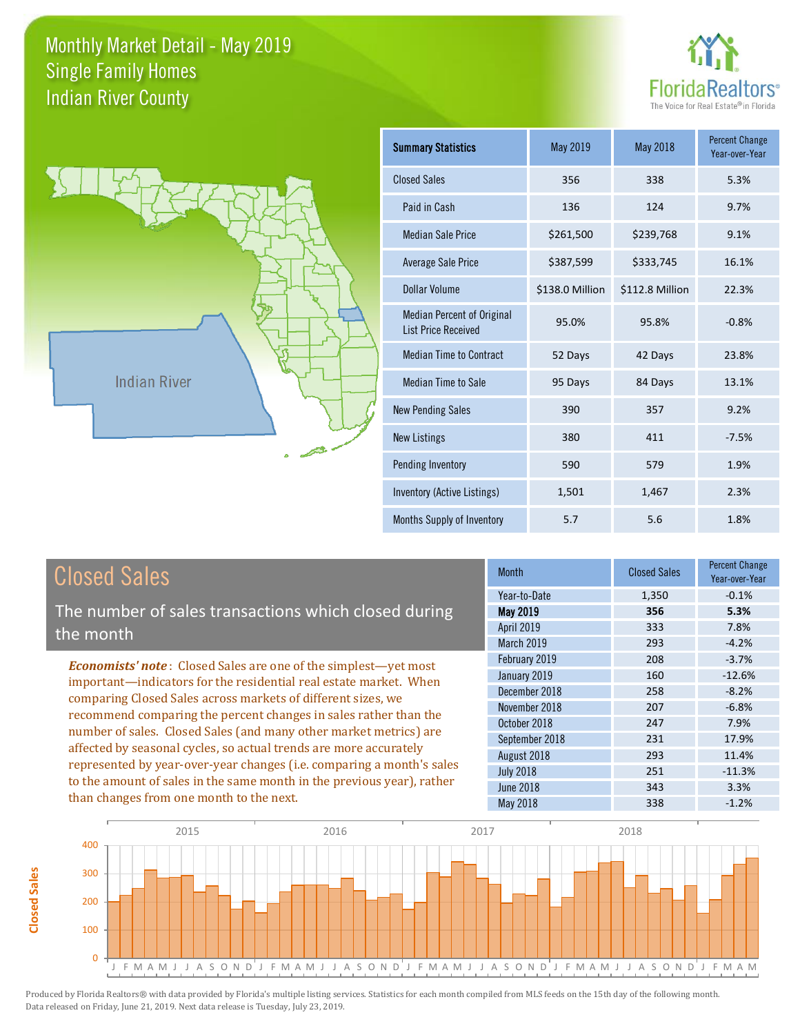



**Closed Sales**

**Closed Sales** 

| <b>Summary Statistics</b>                                       | May 2019        | <b>May 2018</b> | <b>Percent Change</b><br>Year-over-Year |
|-----------------------------------------------------------------|-----------------|-----------------|-----------------------------------------|
| <b>Closed Sales</b>                                             | 356             | 338             | 5.3%                                    |
| Paid in Cash                                                    | 136             | 124             | 9.7%                                    |
| <b>Median Sale Price</b>                                        | \$261,500       | \$239,768       | 9.1%                                    |
| <b>Average Sale Price</b>                                       | \$387,599       | \$333,745       | 16.1%                                   |
| Dollar Volume                                                   | \$138.0 Million | \$112.8 Million | 22.3%                                   |
| <b>Median Percent of Original</b><br><b>List Price Received</b> | 95.0%           | 95.8%           | $-0.8%$                                 |
| <b>Median Time to Contract</b>                                  | 52 Days         | 42 Days         | 23.8%                                   |
| <b>Median Time to Sale</b>                                      | 95 Days         | 84 Days         | 13.1%                                   |
| <b>New Pending Sales</b>                                        | 390             | 357             | 9.2%                                    |
| <b>New Listings</b>                                             | 380             | 411             | $-7.5%$                                 |
| Pending Inventory                                               | 590             | 579             | 1.9%                                    |
| Inventory (Active Listings)                                     | 1,501           | 1,467           | 2.3%                                    |
| Months Supply of Inventory                                      | 5.7             | 5.6             | 1.8%                                    |

| <b>Closed Sales</b>                                                    | <b>Month</b>      | <b>Closed Sales</b> | <b>Percent Change</b><br>Year-over-Year |
|------------------------------------------------------------------------|-------------------|---------------------|-----------------------------------------|
|                                                                        | Year-to-Date      | 1,350               | $-0.1%$                                 |
| The number of sales transactions which closed during                   | May 2019          | 356                 | 5.3%                                    |
| the month                                                              | <b>April 2019</b> | 333                 | 7.8%                                    |
|                                                                        | March 2019        | 293                 | $-4.2%$                                 |
| <b>Economists' note:</b> Closed Sales are one of the simplest—yet most | February 2019     | 208                 | $-3.7%$                                 |
| important—indicators for the residential real estate market. When      | January 2019      | 160                 | $-12.6%$                                |
| comparing Closed Sales across markets of different sizes, we           | December 2018     | 258                 | $-8.2%$                                 |
| recommend comparing the percent changes in sales rather than the       | November 2018     | 207                 | $-6.8%$                                 |
|                                                                        | October 2018      | 247                 | 7.9%                                    |
| number of sales. Closed Sales (and many other market metrics) are      | September 2018    | 231                 | 17.9%                                   |
| affected by seasonal cycles, so actual trends are more accurately      | August 2018       | 293                 | 11.4%                                   |
| represented by year-over-year changes (i.e. comparing a month's sales  | <b>July 2018</b>  | 251                 | $-11.3%$                                |
| to the amount of sales in the same month in the previous year), rather | <b>June 2018</b>  | 343                 | 3.3%                                    |
| than changes from one month to the next.                               | May 2018          | 338                 | $-1.2%$                                 |

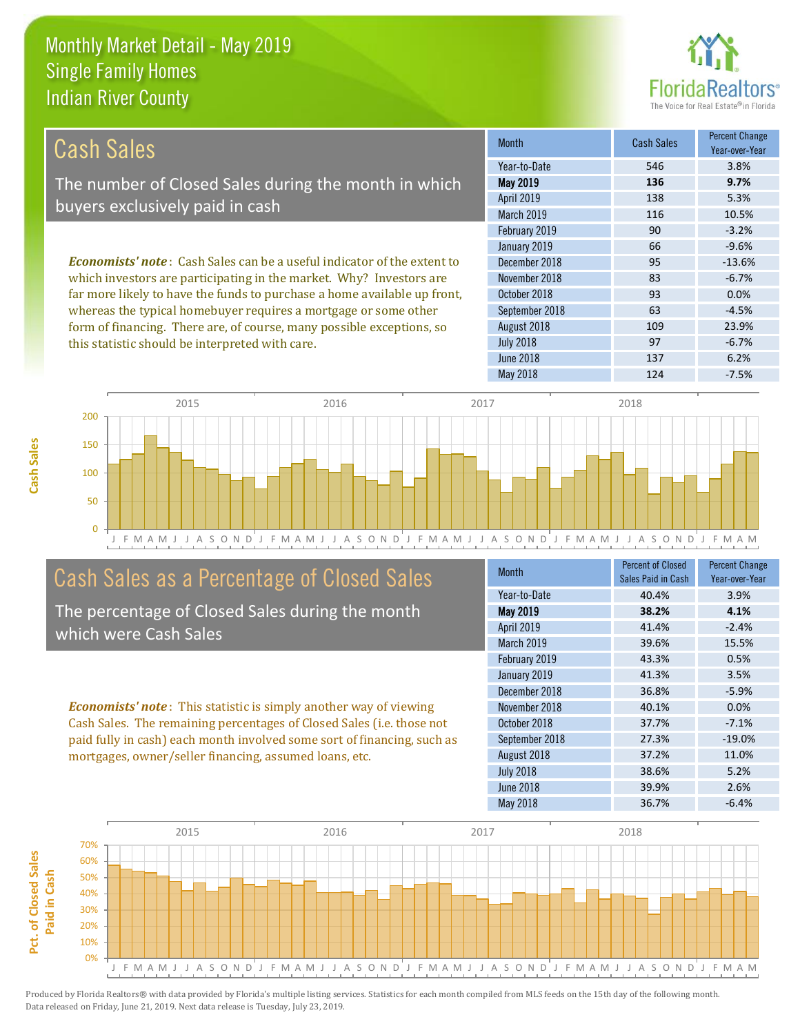this statistic should be interpreted with care.



97 -6.7%

| Cash Sales                                                                     | <b>Month</b>      | <b>Cash Sales</b> | <b>Percent Change</b><br>Year-over-Year |
|--------------------------------------------------------------------------------|-------------------|-------------------|-----------------------------------------|
|                                                                                | Year-to-Date      | 546               | 3.8%                                    |
| The number of Closed Sales during the month in which                           | May 2019          | 136               | 9.7%                                    |
| buyers exclusively paid in cash                                                | <b>April 2019</b> | 138               | 5.3%                                    |
|                                                                                | <b>March 2019</b> | 116               | 10.5%                                   |
|                                                                                | February 2019     | 90                | $-3.2%$                                 |
|                                                                                | January 2019      | 66                | $-9.6%$                                 |
| <b>Economists' note:</b> Cash Sales can be a useful indicator of the extent to | December 2018     | 95                | $-13.6%$                                |
| which investors are participating in the market. Why? Investors are            | November 2018     | 83                | $-6.7%$                                 |
| far more likely to have the funds to purchase a home available up front,       | October 2018      | 93                | 0.0%                                    |
| whereas the typical homebuyer requires a mortgage or some other                | September 2018    | 63                | $-4.5%$                                 |
| form of financing. There are, of course, many possible exceptions, so          | August 2018       | 109               | 23.9%                                   |



## Cash Sales as a Percentage of Closed Sales

The percentage of Closed Sales during the month which were Cash Sales

*Economists' note* : This statistic is simply another way of viewing Cash Sales. The remaining percentages of Closed Sales (i.e. those not paid fully in cash) each month involved some sort of financing, such as mortgages, owner/seller financing, assumed loans, etc.

| Month            | <b>Percent of Closed</b><br>Sales Paid in Cash | <b>Percent Change</b><br>Year-over-Year |
|------------------|------------------------------------------------|-----------------------------------------|
| Year-to-Date     | 40.4%                                          | 3.9%                                    |
| May 2019         | 38.2%                                          | 4.1%                                    |
| April 2019       | 41.4%                                          | $-2.4%$                                 |
| March 2019       | 39.6%                                          | 15.5%                                   |
| February 2019    | 43.3%                                          | 0.5%                                    |
| January 2019     | 41.3%                                          | 3.5%                                    |
| December 2018    | 36.8%                                          | $-5.9%$                                 |
| November 2018    | 40.1%                                          | 0.0%                                    |
| October 2018     | 37.7%                                          | $-7.1%$                                 |
| September 2018   | 27.3%                                          | $-19.0%$                                |
| August 2018      | 37.2%                                          | 11.0%                                   |
| <b>July 2018</b> | 38.6%                                          | 5.2%                                    |
| <b>June 2018</b> | 39.9%                                          | 2.6%                                    |
| May 2018         | 36.7%                                          | $-6.4%$                                 |

June 2018 137 6.2%

July 2018



Produced by Florida Realtors® with data provided by Florida's multiple listing services. Statistics for each month compiled from MLS feeds on the 15th day of the following month. Data released on Friday, June 21, 2019. Next data release is Tuesday, July 23, 2019.

**Pct. of Closed Sales** 

Pct. of Closed Sales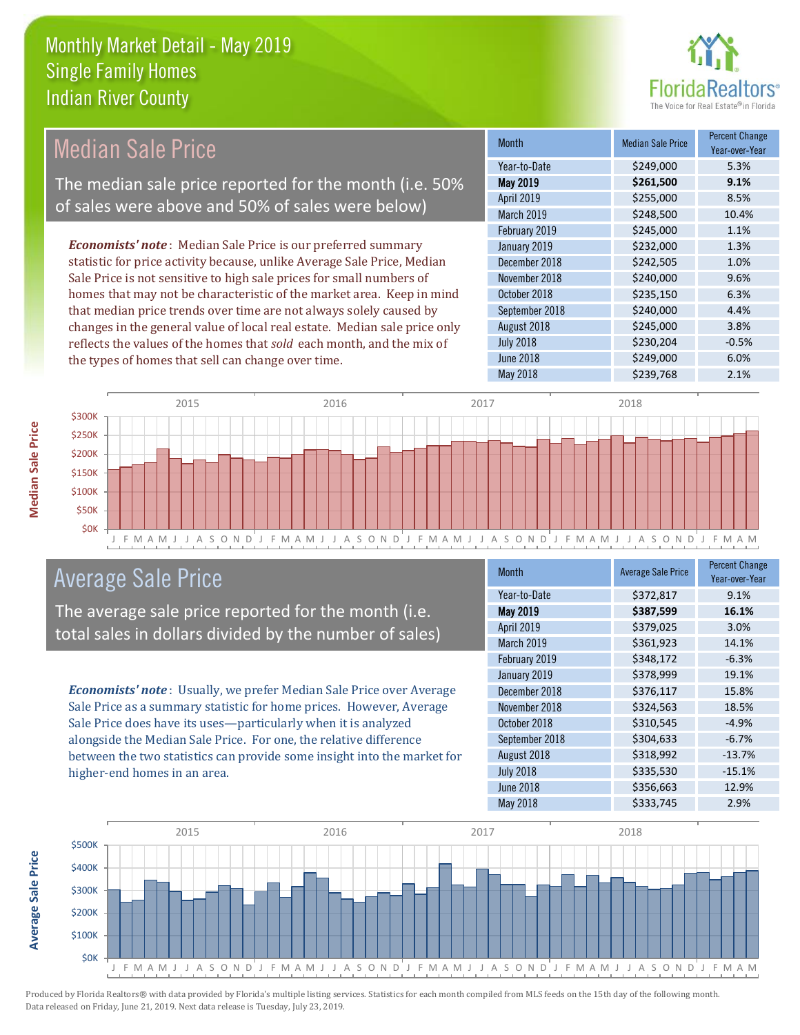

#### *Economists' note* : Median Sale Price is our preferred summary statistic for price activity because, unlike Average Sale Price, Median Sale Price is not sensitive to high sale prices for small numbers of homes that may not be characteristic of the market area. Keep in mind that median price trends over time are not always solely caused by changes in the general value of local real estate. Median sale price only reflects the values of the homes that *sold* each month, and the mix of the types of homes that sell can change over time. May 2018 **\$239,768** 2.1% July 2018  $$230,204$   $$-0.5\%$ June 2018 **\$249,000** 6.0% September 2018 **\$240,000** 4.4% August 2018 \$245,000 3.8% \$245,000 1.1% January 2019 **\$232,000** \$234,000 October 2018 \$235,150 6.3% April 2019 **\$255,000** \$255,000 8.5% March 2019 \$248,500 10.4% December 2018 **\$242,505** 1.0% November 2018 **\$240,000** 9.6% February 2019 Month Median Sale Price Percent Change Year-over-Year May 2019 **\$261,500 9.1%** Year-to-Date \$249,000 5.3% Median Sale Price The median sale price reported for the month (i.e. 50% of sales were above and 50% of sales were below)



### Average Sale Price

The average sale price reported for the month (i.e. total sales in dollars divided by the number of sales)

*Economists' note* : Usually, we prefer Median Sale Price over Average Sale Price as a summary statistic for home prices. However, Average Sale Price does have its uses—particularly when it is analyzed alongside the Median Sale Price. For one, the relative difference between the two statistics can provide some insight into the market for higher-end homes in an area.

| <b>Month</b>     | <b>Average Sale Price</b> | <b>Percent Change</b><br>Year-over-Year |
|------------------|---------------------------|-----------------------------------------|
| Year-to-Date     | \$372,817                 | 9.1%                                    |
| <b>May 2019</b>  | \$387,599                 | 16.1%                                   |
| April 2019       | \$379,025                 | 3.0%                                    |
| March 2019       | \$361,923                 | 14.1%                                   |
| February 2019    | \$348,172                 | $-6.3%$                                 |
| January 2019     | \$378,999                 | 19.1%                                   |
| December 2018    | \$376,117                 | 15.8%                                   |
| November 2018    | \$324,563                 | 18.5%                                   |
| October 2018     | \$310,545                 | $-4.9%$                                 |
| September 2018   | \$304,633                 | $-6.7%$                                 |
| August 2018      | \$318,992                 | $-13.7%$                                |
| <b>July 2018</b> | \$335,530                 | $-15.1%$                                |
| June 2018        | \$356,663                 | 12.9%                                   |
| <b>May 2018</b>  | \$333,745                 | 2.9%                                    |



**Median Sale Price** 

**Average Sale Price**

**Average Sale Price**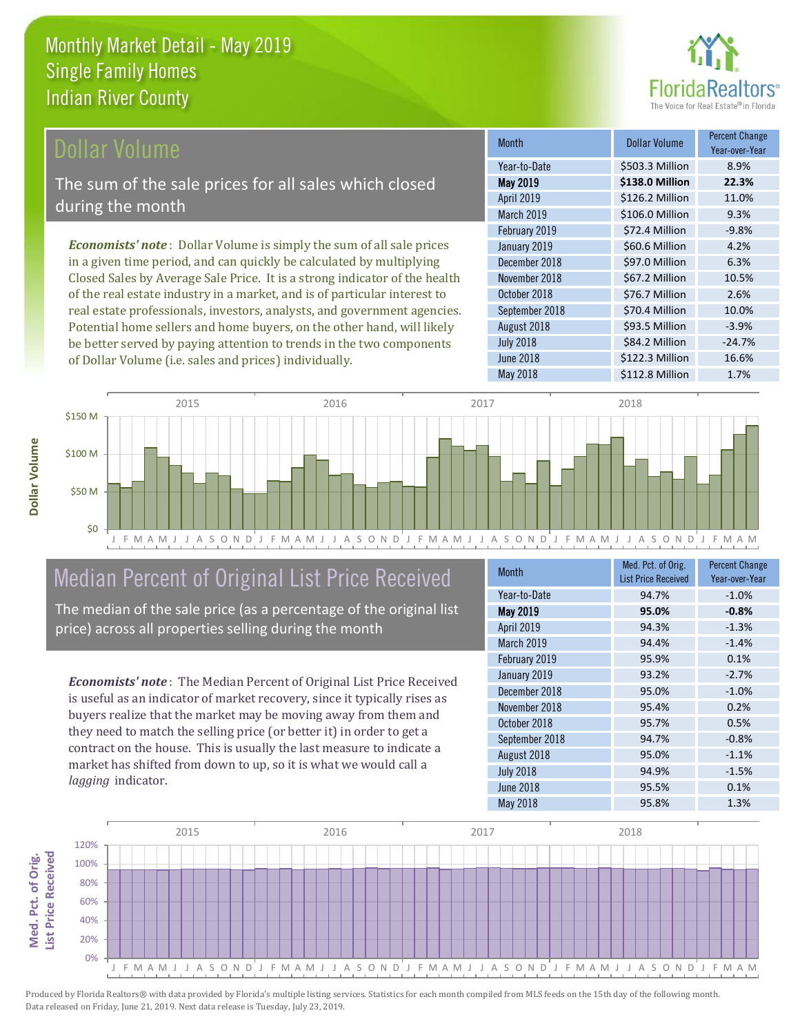

#### Dollar Volume

The sum of the sale prices for all sales which closed during the month

*Economists' note* : Dollar Volume is simply the sum of all sale prices in a given time period, and can quickly be calculated by multiplying Closed Sales by Average Sale Price. It is a strong indicator of the health of the real estate industry in a market, and is of particular interest to real estate professionals, investors, analysts, and government agencies. Potential home sellers and home buyers, on the other hand, will likely be better served by paying attention to trends in the two components of Dollar Volume (i.e. sales and prices) individually.

| <b>Month</b>     | Dollar Volume   | <b>Percent Change</b><br>Year-over-Year |
|------------------|-----------------|-----------------------------------------|
| Year-to-Date     | \$503.3 Million | 8.9%                                    |
| <b>May 2019</b>  | \$138.0 Million | 22.3%                                   |
| April 2019       | \$126.2 Million | 11.0%                                   |
| March 2019       | \$106.0 Million | 9.3%                                    |
| February 2019    | \$72.4 Million  | $-9.8%$                                 |
| January 2019     | \$60.6 Million  | 4.2%                                    |
| December 2018    | \$97.0 Million  | 6.3%                                    |
| November 2018    | \$67.2 Million  | 10.5%                                   |
| October 2018     | \$76.7 Million  | 2.6%                                    |
| September 2018   | \$70.4 Million  | 10.0%                                   |
| August 2018      | \$93.5 Million  | $-3.9%$                                 |
| <b>July 2018</b> | \$84.2 Million  | $-24.7%$                                |
| June 2018        | \$122.3 Million | 16.6%                                   |
| <b>May 2018</b>  | \$112.8 Million | 1.7%                                    |



# Median Percent of Original List Price Received

The median of the sale price (as a percentage of the original list price) across all properties selling during the month

*Economists' note* : The Median Percent of Original List Price Received is useful as an indicator of market recovery, since it typically rises as buyers realize that the market may be moving away from them and they need to match the selling price (or better it) in order to get a contract on the house. This is usually the last measure to indicate a market has shifted from down to up, so it is what we would call a *lagging* indicator.

| <b>Month</b>      | Med. Pct. of Orig.<br><b>List Price Received</b> | <b>Percent Change</b><br>Year-over-Year |
|-------------------|--------------------------------------------------|-----------------------------------------|
| Year-to-Date      | 94.7%                                            | $-1.0%$                                 |
| May 2019          | 95.0%                                            | $-0.8%$                                 |
| April 2019        | 94.3%                                            | $-1.3%$                                 |
| <b>March 2019</b> | 94.4%                                            | $-1.4%$                                 |
| February 2019     | 95.9%                                            | 0.1%                                    |
| January 2019      | 93.2%                                            | $-2.7%$                                 |
| December 2018     | 95.0%                                            | $-1.0%$                                 |
| November 2018     | 95.4%                                            | 0.2%                                    |
| October 2018      | 95.7%                                            | 0.5%                                    |
| September 2018    | 94.7%                                            | $-0.8%$                                 |
| August 2018       | 95.0%                                            | $-1.1%$                                 |
| <b>July 2018</b>  | 94.9%                                            | $-1.5%$                                 |
| June 2018         | 95.5%                                            | 0.1%                                    |
| <b>May 2018</b>   | 95.8%                                            | 1.3%                                    |

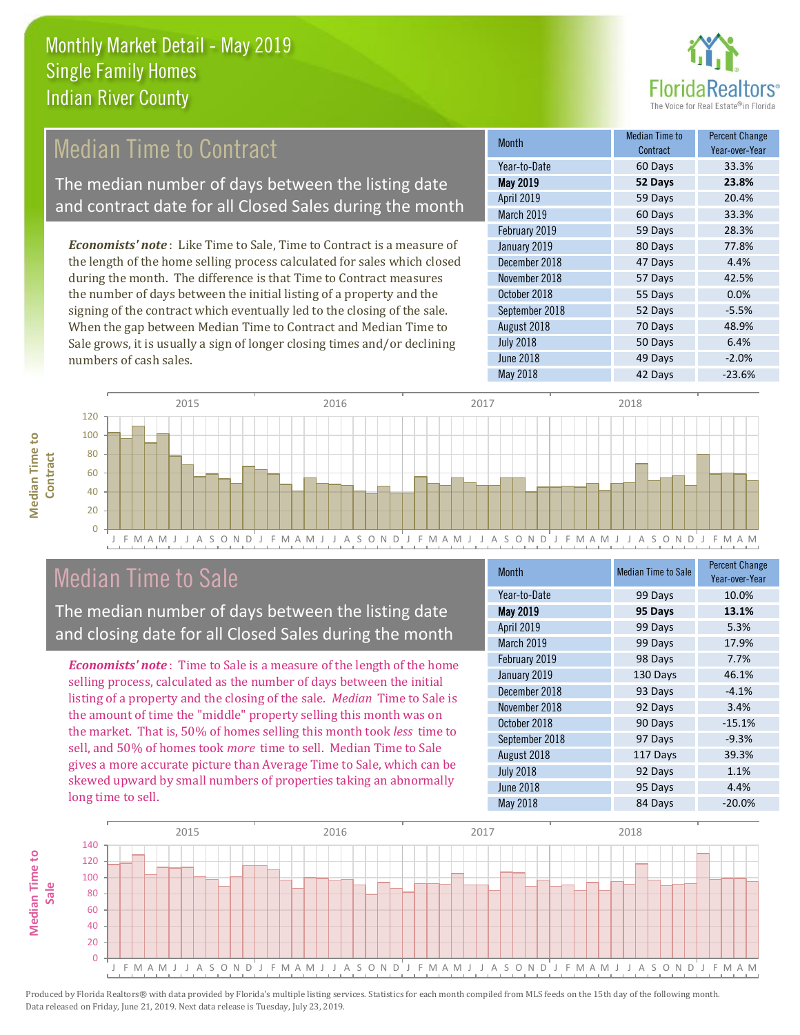

## Median Time to Contract

The median number of days between the listing date and contract date for all Closed Sales during the month

*Economists' note* : Like Time to Sale, Time to Contract is a measure of the length of the home selling process calculated for sales which closed during the month. The difference is that Time to Contract measures the number of days between the initial listing of a property and the signing of the contract which eventually led to the closing of the sale. When the gap between Median Time to Contract and Median Time to Sale grows, it is usually a sign of longer closing times and/or declining numbers of cash sales.

| <b>Month</b>     | Median Time to<br>Contract | <b>Percent Change</b><br>Year-over-Year |
|------------------|----------------------------|-----------------------------------------|
| Year-to-Date     | 60 Days                    | 33.3%                                   |
| <b>May 2019</b>  | 52 Days                    | 23.8%                                   |
| April 2019       | 59 Days                    | 20.4%                                   |
| March 2019       | 60 Days                    | 33.3%                                   |
| February 2019    | 59 Days                    | 28.3%                                   |
| January 2019     | 80 Days                    | 77.8%                                   |
| December 2018    | 47 Days                    | 4.4%                                    |
| November 2018    | 57 Days                    | 42.5%                                   |
| October 2018     | 55 Days                    | 0.0%                                    |
| September 2018   | 52 Days                    | $-5.5%$                                 |
| August 2018      | 70 Days                    | 48.9%                                   |
| <b>July 2018</b> | 50 Days                    | 6.4%                                    |
| <b>June 2018</b> | 49 Days                    | $-2.0%$                                 |
| <b>May 2018</b>  | 42 Days                    | $-23.6%$                                |





### Median Time to Sale

The median number of days between the listing date and closing date for all Closed Sales during the month

*Economists' note* : Time to Sale is a measure of the length of the home selling process, calculated as the number of days between the initial listing of a property and the closing of the sale. *Median* Time to Sale is the amount of time the "middle" property selling this month was on the market. That is, 50% of homes selling this month took *less* time to sell, and 50% of homes took *more* time to sell. Median Time to Sale gives a more accurate picture than Average Time to Sale, which can be skewed upward by small numbers of properties taking an abnormally long time to sell.

| <b>Month</b>     | <b>Median Time to Sale</b> | <b>Percent Change</b><br>Year-over-Year |
|------------------|----------------------------|-----------------------------------------|
| Year-to-Date     | 99 Days                    | 10.0%                                   |
| May 2019         | 95 Days                    | 13.1%                                   |
| April 2019       | 99 Days                    | 5.3%                                    |
| March 2019       | 99 Days                    | 17.9%                                   |
| February 2019    | 98 Days                    | 7.7%                                    |
| January 2019     | 130 Days                   | 46.1%                                   |
| December 2018    | 93 Days                    | $-4.1%$                                 |
| November 2018    | 92 Days                    | 3.4%                                    |
| October 2018     | 90 Days                    | $-15.1%$                                |
| September 2018   | 97 Days                    | $-9.3%$                                 |
| August 2018      | 117 Days                   | 39.3%                                   |
| <b>July 2018</b> | 92 Days                    | 1.1%                                    |
| <b>June 2018</b> | 95 Days                    | 4.4%                                    |
| May 2018         | 84 Days                    | $-20.0%$                                |

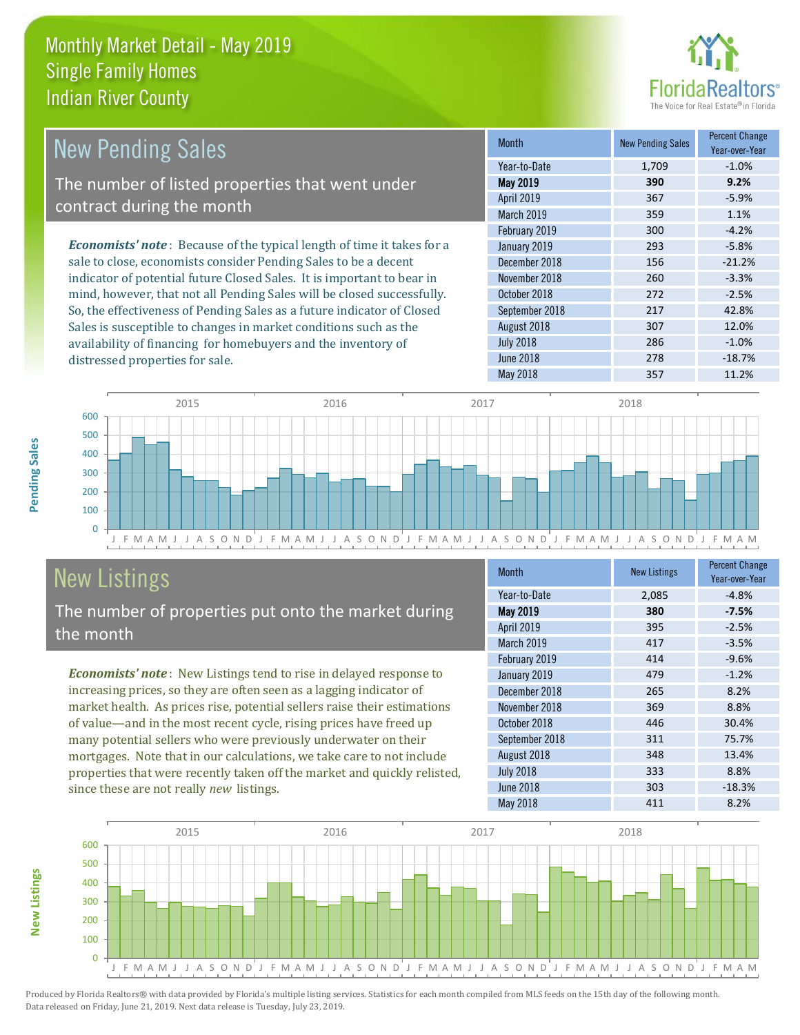distressed properties for sale.



| <b>New Pending Sales</b>                                                      | <b>Month</b>      | <b>New Pending Sales</b> | <b>Percent Change</b><br>Year-over-Year |
|-------------------------------------------------------------------------------|-------------------|--------------------------|-----------------------------------------|
|                                                                               | Year-to-Date      | 1,709                    | $-1.0%$                                 |
| The number of listed properties that went under                               | <b>May 2019</b>   | 390                      | 9.2%                                    |
| contract during the month                                                     | April 2019        | 367                      | $-5.9%$                                 |
|                                                                               | <b>March 2019</b> | 359                      | 1.1%                                    |
|                                                                               | February 2019     | 300                      | $-4.2%$                                 |
| <b>Economists' note:</b> Because of the typical length of time it takes for a | January 2019      | 293                      | $-5.8%$                                 |
| sale to close, economists consider Pending Sales to be a decent               | December 2018     | 156                      | $-21.2%$                                |
| indicator of potential future Closed Sales. It is important to bear in        | November 2018     | 260                      | $-3.3%$                                 |
| mind, however, that not all Pending Sales will be closed successfully.        | October 2018      | 272                      | $-2.5%$                                 |
| So, the effectiveness of Pending Sales as a future indicator of Closed        | September 2018    | 217                      | 42.8%                                   |
| Sales is susceptible to changes in market conditions such as the              | August 2018       | 307                      | 12.0%                                   |



# New Listings

The number of properties put onto the market during the month

availability of financing for homebuyers and the inventory of

*Economists' note* : New Listings tend to rise in delayed response to increasing prices, so they are often seen as a lagging indicator of market health. As prices rise, potential sellers raise their estimations of value—and in the most recent cycle, rising prices have freed up many potential sellers who were previously underwater on their mortgages. Note that in our calculations, we take care to not include properties that were recently taken off the market and quickly relisted, since these are not really *new* listings.

| <b>Month</b>      | <b>New Listings</b> | <b>Percent Change</b><br>Year-over-Year |
|-------------------|---------------------|-----------------------------------------|
| Year-to-Date      | 2,085               | $-4.8%$                                 |
| May 2019          | 380                 | $-7.5%$                                 |
| <b>April 2019</b> | 395                 | $-2.5%$                                 |
| March 2019        | 417                 | $-3.5%$                                 |
| February 2019     | 414                 | $-9.6%$                                 |
| January 2019      | 479                 | $-1.2%$                                 |
| December 2018     | 265                 | 8.2%                                    |
| November 2018     | 369                 | 8.8%                                    |
| October 2018      | 446                 | 30.4%                                   |
| September 2018    | 311                 | 75.7%                                   |
| August 2018       | 348                 | 13.4%                                   |
| <b>July 2018</b>  | 333                 | 8.8%                                    |
| June 2018         | 303                 | $-18.3%$                                |
| May 2018          | 411                 | 8.2%                                    |

July 2018 286 -1.0% June 2018 **278** -18.7%



Produced by Florida Realtors® with data provided by Florida's multiple listing services. Statistics for each month compiled from MLS feeds on the 15th day of the following month. Data released on Friday, June 21, 2019. Next data release is Tuesday, July 23, 2019.

**New Listings**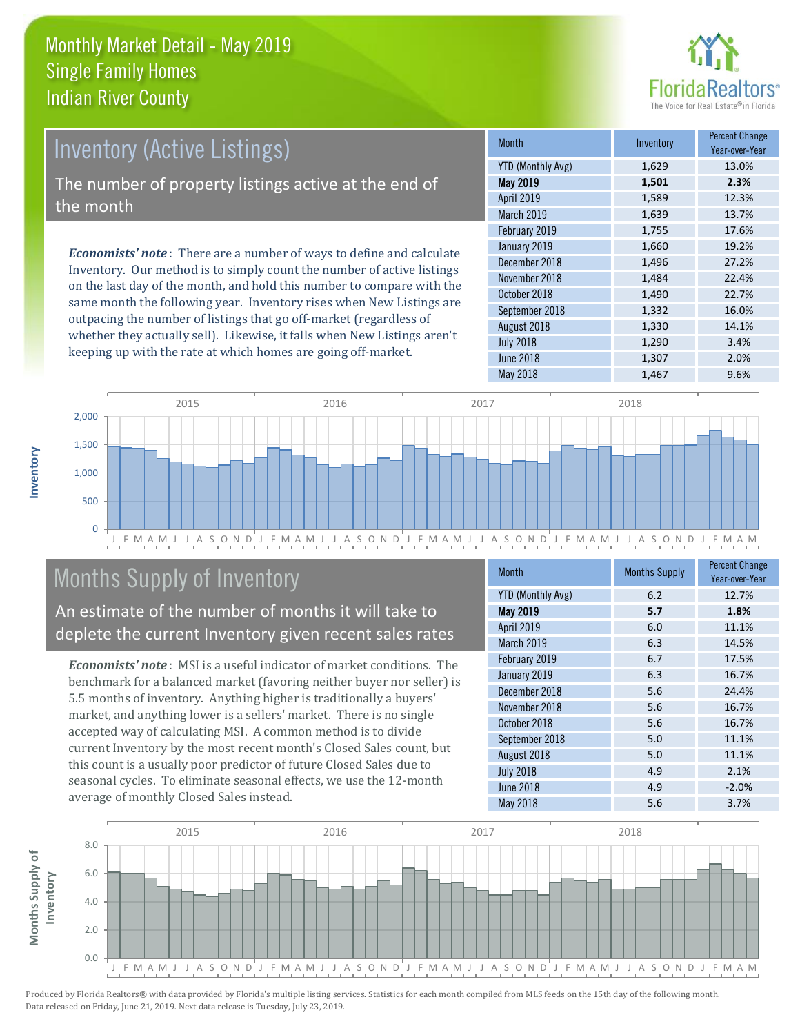

# Inventory (Active Listings)

The number of property listings active at the end of the month

*Economists' note* : There are a number of ways to define and calculate Inventory. Our method is to simply count the number of active listings on the last day of the month, and hold this number to compare with the same month the following year. Inventory rises when New Listings are outpacing the number of listings that go off-market (regardless of whether they actually sell). Likewise, it falls when New Listings aren't keeping up with the rate at which homes are going off-market.

| <b>Month</b>             | Inventory | <b>Percent Change</b><br>Year-over-Year |
|--------------------------|-----------|-----------------------------------------|
| <b>YTD (Monthly Avg)</b> | 1,629     | 13.0%                                   |
| <b>May 2019</b>          | 1,501     | 2.3%                                    |
| April 2019               | 1,589     | 12.3%                                   |
| March 2019               | 1,639     | 13.7%                                   |
| February 2019            | 1,755     | 17.6%                                   |
| January 2019             | 1,660     | 19.2%                                   |
| December 2018            | 1,496     | 27.2%                                   |
| November 2018            | 1,484     | 22.4%                                   |
| October 2018             | 1,490     | 22.7%                                   |
| September 2018           | 1,332     | 16.0%                                   |
| August 2018              | 1,330     | 14.1%                                   |
| <b>July 2018</b>         | 1,290     | 3.4%                                    |
| <b>June 2018</b>         | 1,307     | 2.0%                                    |
| May 2018                 | 1,467     | 9.6%                                    |



# Months Supply of Inventory

An estimate of the number of months it will take to deplete the current Inventory given recent sales rates

*Economists' note* : MSI is a useful indicator of market conditions. The benchmark for a balanced market (favoring neither buyer nor seller) is 5.5 months of inventory. Anything higher is traditionally a buyers' market, and anything lower is a sellers' market. There is no single accepted way of calculating MSI. A common method is to divide current Inventory by the most recent month's Closed Sales count, but this count is a usually poor predictor of future Closed Sales due to seasonal cycles. To eliminate seasonal effects, we use the 12-month average of monthly Closed Sales instead.

| <b>Month</b>             | <b>Months Supply</b> | <b>Percent Change</b><br>Year-over-Year |
|--------------------------|----------------------|-----------------------------------------|
| <b>YTD (Monthly Avg)</b> | 6.2                  | 12.7%                                   |
| May 2019                 | 5.7                  | 1.8%                                    |
| April 2019               | 6.0                  | 11.1%                                   |
| March 2019               | 6.3                  | 14.5%                                   |
| February 2019            | 6.7                  | 17.5%                                   |
| January 2019             | 6.3                  | 16.7%                                   |
| December 2018            | 5.6                  | 24.4%                                   |
| November 2018            | 5.6                  | 16.7%                                   |
| October 2018             | 5.6                  | 16.7%                                   |
| September 2018           | 5.0                  | 11.1%                                   |
| August 2018              | 5.0                  | 11.1%                                   |
| <b>July 2018</b>         | 4.9                  | 2.1%                                    |
| <b>June 2018</b>         | 4.9                  | $-2.0%$                                 |
| May 2018                 | 5.6                  | 3.7%                                    |

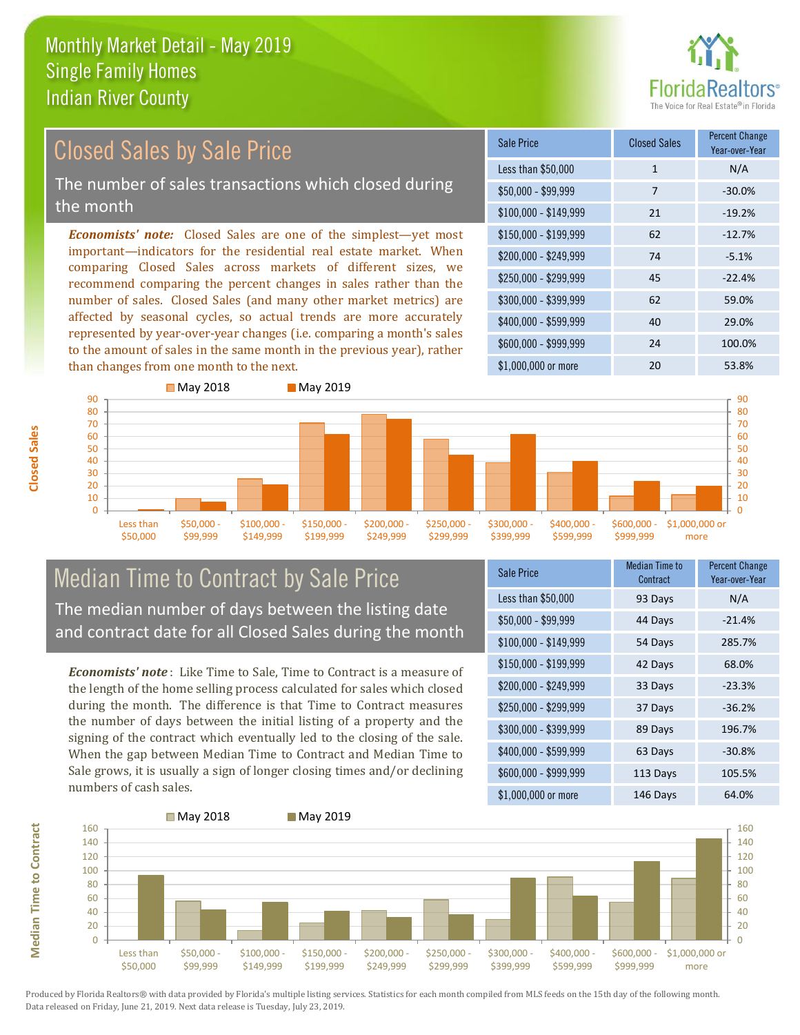

#### $$100,000 - $149,999$  21  $-19.2\%$ Sale Price Closed Sales Percent Change Year-over-Year Less than \$50,000 1 1 N/A  $$50.000 - $99.999$  7 -30.0% \$150,000 - \$199,999 62 -12.7% \$200,000 - \$249,999 74 -5.1% \$400,000 - \$599,999 40 29.0% \$600,000 - \$999,999 24 100.0% *Economists' note:* Closed Sales are one of the simplest—yet most important—indicators for the residential real estate market. When comparing Closed Sales across markets of different sizes, we recommend comparing the percent changes in sales rather than the number of sales. Closed Sales (and many other market metrics) are affected by seasonal cycles, so actual trends are more accurately represented by year-over-year changes (i.e. comparing a month's sales to the amount of sales in the same month in the previous year), rather than changes from one month to the next. \$1,000,000 or more 20 53.8% \$250,000 - \$299,999 45 -22.4% \$300,000 - \$399,999 62 59.0% Closed Sales by Sale Price The number of sales transactions which closed during the month



#### Median Time to Contract by Sale Price The median number of days between the listing date and contract date for all Closed Sales during the month

*Economists' note* : Like Time to Sale, Time to Contract is a measure of the length of the home selling process calculated for sales which closed during the month. The difference is that Time to Contract measures the number of days between the initial listing of a property and the signing of the contract which eventually led to the closing of the sale. When the gap between Median Time to Contract and Median Time to Sale grows, it is usually a sign of longer closing times and/or declining numbers of cash sales.

| <b>Sale Price</b>     | <b>Median Time to</b><br>Contract | <b>Percent Change</b><br>Year-over-Year |
|-----------------------|-----------------------------------|-----------------------------------------|
| Less than \$50,000    | 93 Days                           | N/A                                     |
| $$50,000 - $99,999$   | 44 Days                           | $-21.4%$                                |
| $$100,000 - $149,999$ | 54 Days                           | 285.7%                                  |
| $$150,000 - $199,999$ | 42 Days                           | 68.0%                                   |
| \$200,000 - \$249,999 | 33 Days                           | $-23.3%$                                |
| \$250,000 - \$299,999 | 37 Days                           | $-36.2%$                                |
| \$300,000 - \$399,999 | 89 Days                           | 196.7%                                  |
| \$400,000 - \$599,999 | 63 Days                           | $-30.8%$                                |
| \$600,000 - \$999,999 | 113 Days                          | 105.5%                                  |
| \$1,000,000 or more   | 146 Days                          | 64.0%                                   |



**Closed Sales**

**Median Time to Contract**

**Median Time to Contract**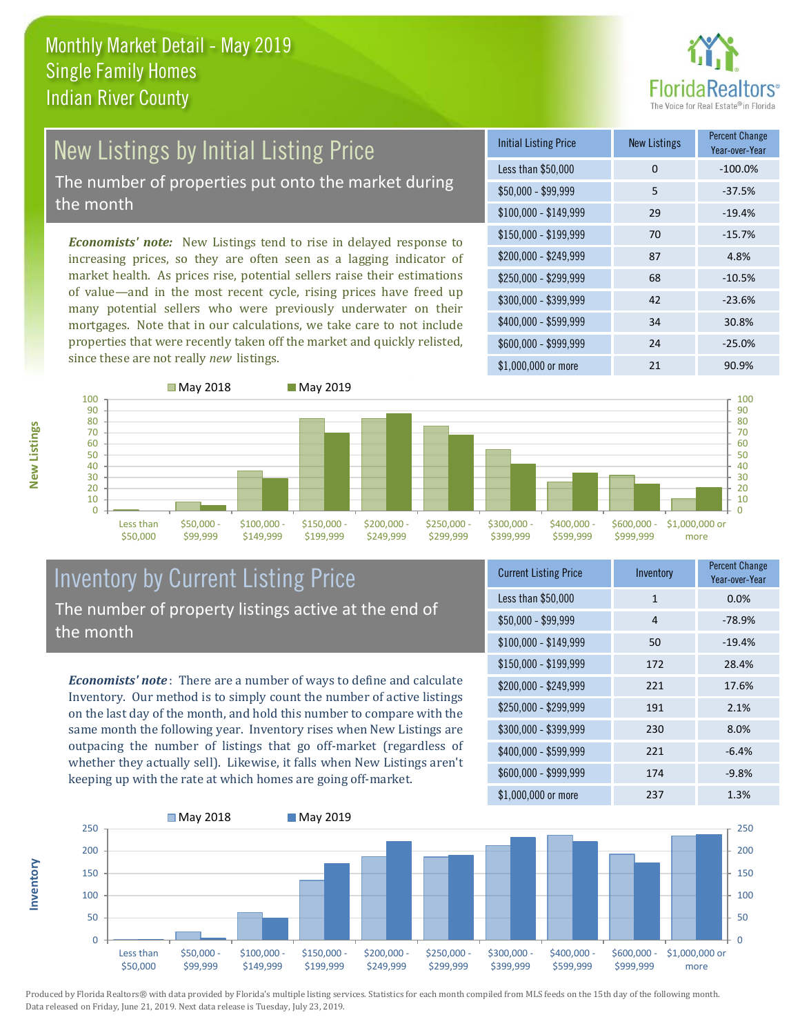

# New Listings by Initial Listing Price The number of properties put onto the market during

the month

*Economists' note:* New Listings tend to rise in delayed response to increasing prices, so they are often seen as a lagging indicator of market health. As prices rise, potential sellers raise their estimations of value—and in the most recent cycle, rising prices have freed up many potential sellers who were previously underwater on their mortgages. Note that in our calculations, we take care to not include properties that were recently taken off the market and quickly relisted, since these are not really *new* listings.

| <b>Initial Listing Price</b> | <b>New Listings</b> | <b>Percent Change</b><br>Year-over-Year |
|------------------------------|---------------------|-----------------------------------------|
| Less than \$50,000           | $\Omega$            | $-100.0%$                               |
| $$50,000 - $99,999$          | 5                   | $-37.5%$                                |
| $$100,000 - $149,999$        | 29                  | $-19.4%$                                |
| $$150,000 - $199,999$        | 70                  | $-15.7%$                                |
| \$200,000 - \$249,999        | 87                  | 4.8%                                    |
| \$250,000 - \$299,999        | 68                  | $-10.5%$                                |
| \$300,000 - \$399,999        | 42                  | $-23.6%$                                |
| \$400,000 - \$599,999        | 34                  | 30.8%                                   |
| \$600,000 - \$999,999        | 24                  | $-25.0%$                                |
| \$1,000,000 or more          | 21                  | 90.9%                                   |



#### Inventory by Current Listing Price The number of property listings active at the end of the month

*Economists' note* : There are a number of ways to define and calculate Inventory. Our method is to simply count the number of active listings on the last day of the month, and hold this number to compare with the same month the following year. Inventory rises when New Listings are outpacing the number of listings that go off-market (regardless of whether they actually sell). Likewise, it falls when New Listings aren't keeping up with the rate at which homes are going off-market.

| <b>Current Listing Price</b> | Inventory    | <b>Percent Change</b><br>Year-over-Year |
|------------------------------|--------------|-----------------------------------------|
| Less than \$50,000           | $\mathbf{1}$ | 0.0%                                    |
| $$50,000 - $99,999$          | 4            | $-78.9%$                                |
| $$100,000 - $149,999$        | 50           | $-19.4%$                                |
| $$150,000 - $199,999$        | 172          | 28.4%                                   |
| \$200,000 - \$249,999        | 221          | 17.6%                                   |
| \$250,000 - \$299,999        | 191          | 2.1%                                    |
| \$300,000 - \$399,999        | 230          | 8.0%                                    |
| \$400,000 - \$599,999        | 221          | $-6.4%$                                 |
| \$600,000 - \$999,999        | 174          | $-9.8%$                                 |
| \$1,000,000 or more          | 237          | 1.3%                                    |



Produced by Florida Realtors® with data provided by Florida's multiple listing services. Statistics for each month compiled from MLS feeds on the 15th day of the following month. Data released on Friday, June 21, 2019. Next data release is Tuesday, July 23, 2019.

**Inventory**